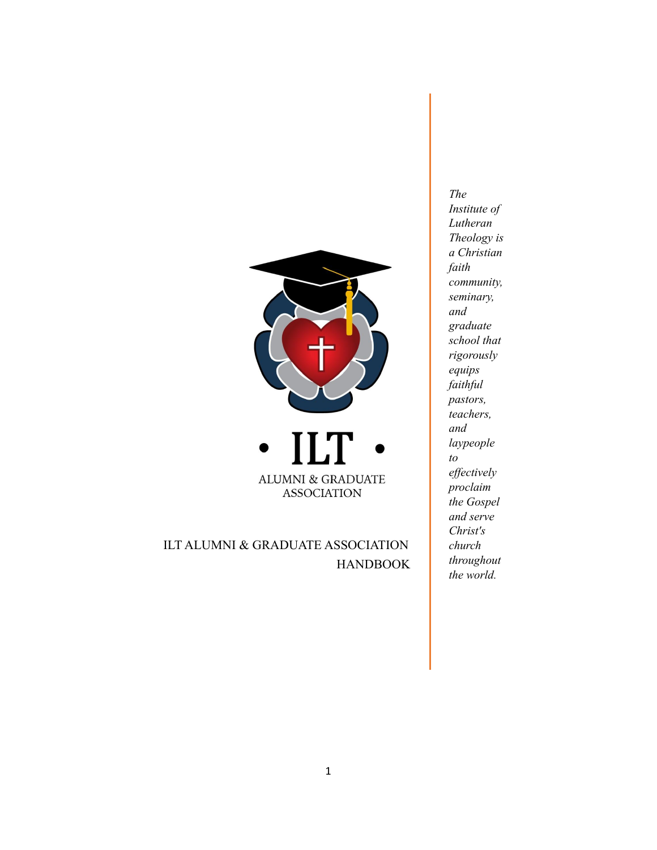



ILT ALUMNI & GRADUATE ASSOCIATION HANDBOOK

*The Institute of Lutheran Theology is a Christian faith community, seminary, and graduate school that rigorously equips faithful pastors, teachers, and laypeople to ef ectively proclaim the Gospel and serve Christ's church throughout the world.*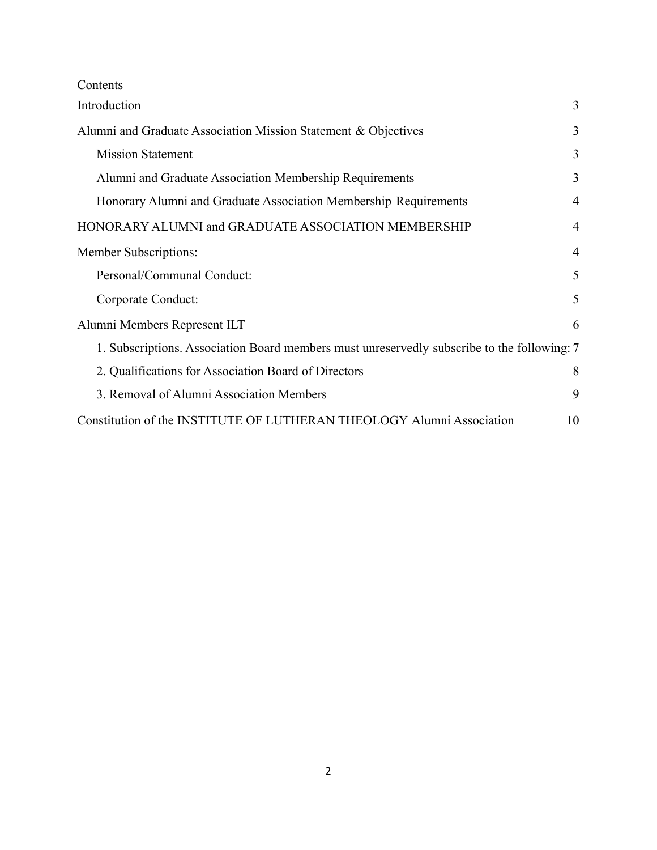Contents

| Introduction                                                                                | 3              |
|---------------------------------------------------------------------------------------------|----------------|
| Alumni and Graduate Association Mission Statement & Objectives                              | 3              |
| <b>Mission Statement</b>                                                                    | 3              |
| Alumni and Graduate Association Membership Requirements                                     | 3              |
| Honorary Alumni and Graduate Association Membership Requirements                            | $\overline{4}$ |
| HONORARY ALUMNI and GRADUATE ASSOCIATION MEMBERSHIP                                         | $\overline{4}$ |
| Member Subscriptions:                                                                       | $\overline{4}$ |
| Personal/Communal Conduct:                                                                  | 5              |
| Corporate Conduct:                                                                          | 5              |
| Alumni Members Represent ILT                                                                | 6              |
| 1. Subscriptions. Association Board members must unreservedly subscribe to the following: 7 |                |
| 2. Qualifications for Association Board of Directors                                        | 8              |
| 3. Removal of Alumni Association Members                                                    | 9              |
| Constitution of the INSTITUTE OF LUTHERAN THEOLOGY Alumni Association                       | 10             |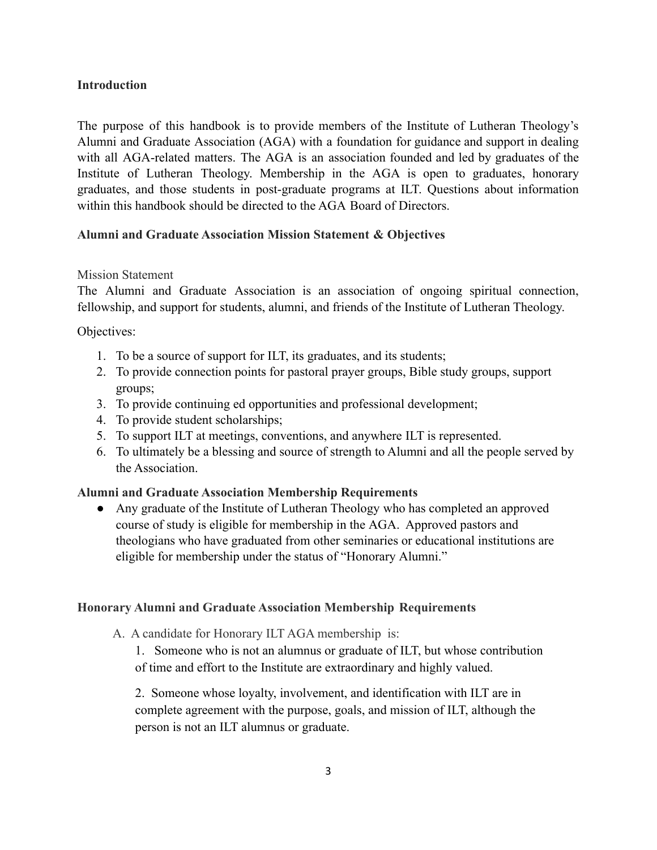#### <span id="page-2-0"></span>**Introduction**

The purpose of this handbook is to provide members of the Institute of Lutheran Theology's Alumni and Graduate Association (AGA) with a foundation for guidance and support in dealing with all AGA-related matters. The AGA is an association founded and led by graduates of the Institute of Lutheran Theology. Membership in the AGA is open to graduates, honorary graduates, and those students in post-graduate programs at ILT. Questions about information within this handbook should be directed to the AGA Board of Directors.

### <span id="page-2-1"></span>**Alumni and Graduate Association Mission Statement & Objectives**

#### <span id="page-2-2"></span>Mission Statement

The Alumni and Graduate Association is an association of ongoing spiritual connection, fellowship, and support for students, alumni, and friends of the Institute of Lutheran Theology.

Objectives:

- 1. To be a source of support for ILT, its graduates, and its students;
- 2. To provide connection points for pastoral prayer groups, Bible study groups, support groups;
- 3. To provide continuing ed opportunities and professional development;
- 4. To provide student scholarships;
- 5. To support ILT at meetings, conventions, and anywhere ILT is represented.
- 6. To ultimately be a blessing and source of strength to Alumni and all the people served by the Association.

# <span id="page-2-3"></span>**Alumni and Graduate Association Membership Requirements**

● Any graduate of the Institute of Lutheran Theology who has completed an approved course of study is eligible for membership in the AGA. Approved pastors and theologians who have graduated from other seminaries or educational institutions are eligible for membership under the status of "Honorary Alumni."

#### **Honorary Alumni and Graduate Association Membership Requirements**

A. A candidate for Honorary ILT AGA membership is:

1. Someone who is not an alumnus or graduate of ILT, but whose contribution of time and effort to the Institute are extraordinary and highly valued.

2. Someone whose loyalty, involvement, and identification with ILT are in complete agreement with the purpose, goals, and mission of ILT, although the person is not an ILT alumnus or graduate.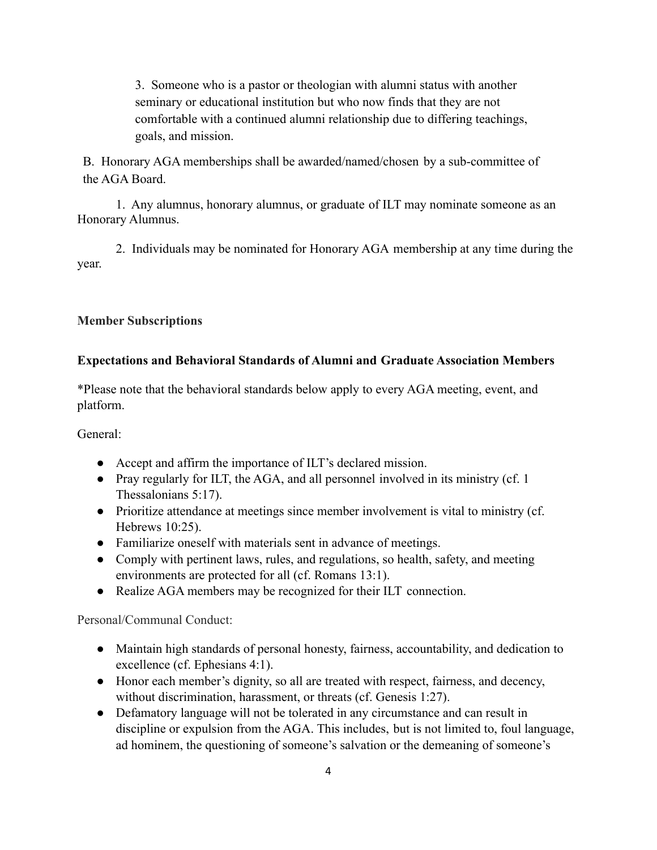3. Someone who is a pastor or theologian with alumni status with another seminary or educational institution but who now finds that they are not comfortable with a continued alumni relationship due to differing teachings, goals, and mission.

B. Honorary AGA memberships shall be awarded/named/chosen by a sub-committee of the AGA Board.

1. Any alumnus, honorary alumnus, or graduate of ILT may nominate someone as an Honorary Alumnus.

2. Individuals may be nominated for Honorary AGA membership at any time during the year.

# <span id="page-3-0"></span>**Member Subscriptions**

# **Expectations and Behavioral Standards of Alumni and Graduate Association Members**

\*Please note that the behavioral standards below apply to every AGA meeting, event, and platform.

General:

- Accept and affirm the importance of ILT's declared mission.
- Pray regularly for ILT, the AGA, and all personnel involved in its ministry (cf. 1) Thessalonians 5:17).
- Prioritize attendance at meetings since member involvement is vital to ministry (cf. Hebrews 10:25).
- Familiarize oneself with materials sent in advance of meetings.
- Comply with pertinent laws, rules, and regulations, so health, safety, and meeting environments are protected for all (cf. Romans 13:1).
- Realize AGA members may be recognized for their ILT connection.

<span id="page-3-1"></span>Personal/Communal Conduct:

- Maintain high standards of personal honesty, fairness, accountability, and dedication to excellence (cf. Ephesians 4:1).
- Honor each member's dignity, so all are treated with respect, fairness, and decency, without discrimination, harassment, or threats (cf. Genesis 1:27).
- Defamatory language will not be tolerated in any circumstance and can result in discipline or expulsion from the AGA. This includes, but is not limited to, foul language, ad hominem, the questioning of someone's salvation or the demeaning of someone's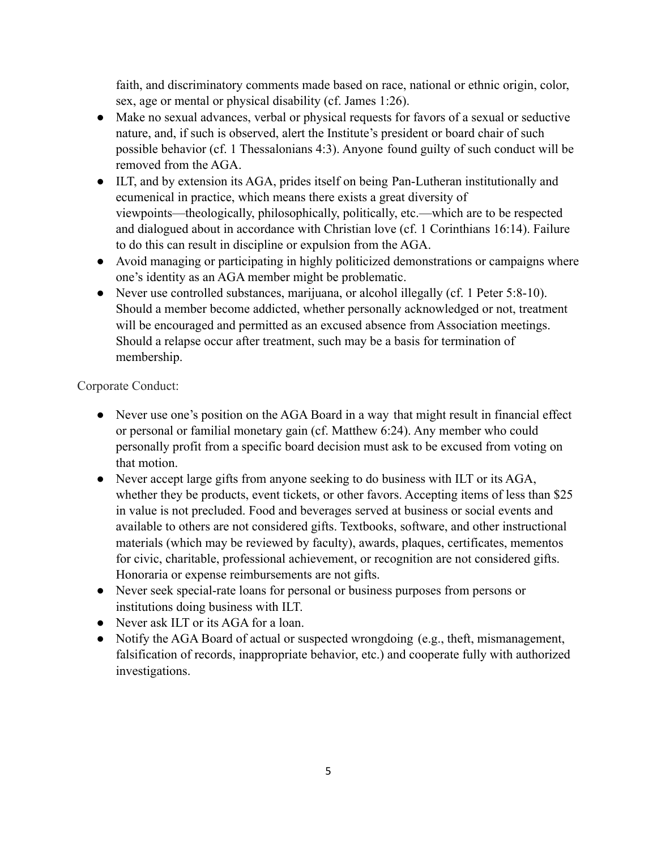faith, and discriminatory comments made based on race, national or ethnic origin, color, sex, age or mental or physical disability (cf. James 1:26).

- Make no sexual advances, verbal or physical requests for favors of a sexual or seductive nature, and, if such is observed, alert the Institute's president or board chair of such possible behavior (cf. 1 Thessalonians 4:3). Anyone found guilty of such conduct will be removed from the AGA.
- ILT, and by extension its AGA, prides itself on being Pan-Lutheran institutionally and ecumenical in practice, which means there exists a great diversity of viewpoints—theologically, philosophically, politically, etc.—which are to be respected and dialogued about in accordance with Christian love (cf. 1 Corinthians 16:14). Failure to do this can result in discipline or expulsion from the AGA.
- Avoid managing or participating in highly politicized demonstrations or campaigns where one's identity as an AGA member might be problematic.
- Never use controlled substances, marijuana, or alcohol illegally (cf. 1 Peter 5:8-10). Should a member become addicted, whether personally acknowledged or not, treatment will be encouraged and permitted as an excused absence from Association meetings. Should a relapse occur after treatment, such may be a basis for termination of membership.

<span id="page-4-0"></span>Corporate Conduct:

- Never use one's position on the AGA Board in a way that might result in financial effect or personal or familial monetary gain (cf. Matthew 6:24). Any member who could personally profit from a specific board decision must ask to be excused from voting on that motion.
- Never accept large gifts from anyone seeking to do business with ILT or its AGA, whether they be products, event tickets, or other favors. Accepting items of less than \$25 in value is not precluded. Food and beverages served at business or social events and available to others are not considered gifts. Textbooks, software, and other instructional materials (which may be reviewed by faculty), awards, plaques, certificates, mementos for civic, charitable, professional achievement, or recognition are not considered gifts. Honoraria or expense reimbursements are not gifts.
- Never seek special-rate loans for personal or business purposes from persons or institutions doing business with ILT.
- Never ask ILT or its AGA for a loan.
- Notify the AGA Board of actual or suspected wrongdoing (e.g., theft, mismanagement, falsification of records, inappropriate behavior, etc.) and cooperate fully with authorized investigations.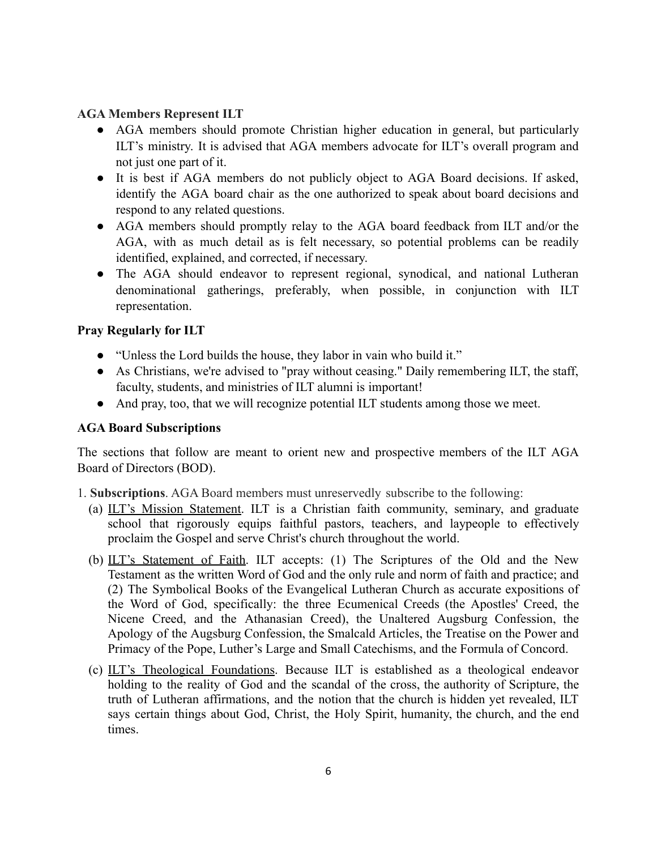### <span id="page-5-0"></span>**AGA Members Represent ILT**

- AGA members should promote Christian higher education in general, but particularly ILT's ministry. It is advised that AGA members advocate for ILT's overall program and not just one part of it.
- It is best if AGA members do not publicly object to AGA Board decisions. If asked, identify the AGA board chair as the one authorized to speak about board decisions and respond to any related questions.
- AGA members should promptly relay to the AGA board feedback from ILT and/or the AGA, with as much detail as is felt necessary, so potential problems can be readily identified, explained, and corrected, if necessary.
- The AGA should endeavor to represent regional, synodical, and national Lutheran denominational gatherings, preferably, when possible, in conjunction with ILT representation.

### **Pray Regularly for ILT**

- "Unless the Lord builds the house, they labor in vain who build it."
- As Christians, we're advised to "pray without ceasing." Daily remembering ILT, the staff, faculty, students, and ministries of ILT alumni is important!
- And pray, too, that we will recognize potential ILT students among those we meet.

# **AGA Board Subscriptions**

The sections that follow are meant to orient new and prospective members of the ILT AGA Board of Directors (BOD).

- <span id="page-5-1"></span>1. **Subscriptions**. AGA Board members must unreservedly subscribe to the following:
	- (a) ILT's Mission Statement. ILT is a Christian faith community, seminary, and graduate school that rigorously equips faithful pastors, teachers, and laypeople to effectively proclaim the Gospel and serve Christ's church throughout the world.
	- (b) ILT's Statement of Faith. ILT accepts: (1) The Scriptures of the Old and the New Testament as the written Word of God and the only rule and norm of faith and practice; and (2) The Symbolical Books of the Evangelical Lutheran Church as accurate expositions of the Word of God, specifically: the three Ecumenical Creeds (the Apostles' Creed, the Nicene Creed, and the Athanasian Creed), the Unaltered Augsburg Confession, the Apology of the Augsburg Confession, the Smalcald Articles, the Treatise on the Power and Primacy of the Pope, Luther's Large and Small Catechisms, and the Formula of Concord.
	- (c) ILT's Theological Foundations. Because ILT is established as a theological endeavor holding to the reality of God and the scandal of the cross, the authority of Scripture, the truth of Lutheran affirmations, and the notion that the church is hidden yet revealed, ILT says certain things about God, Christ, the Holy Spirit, humanity, the church, and the end times.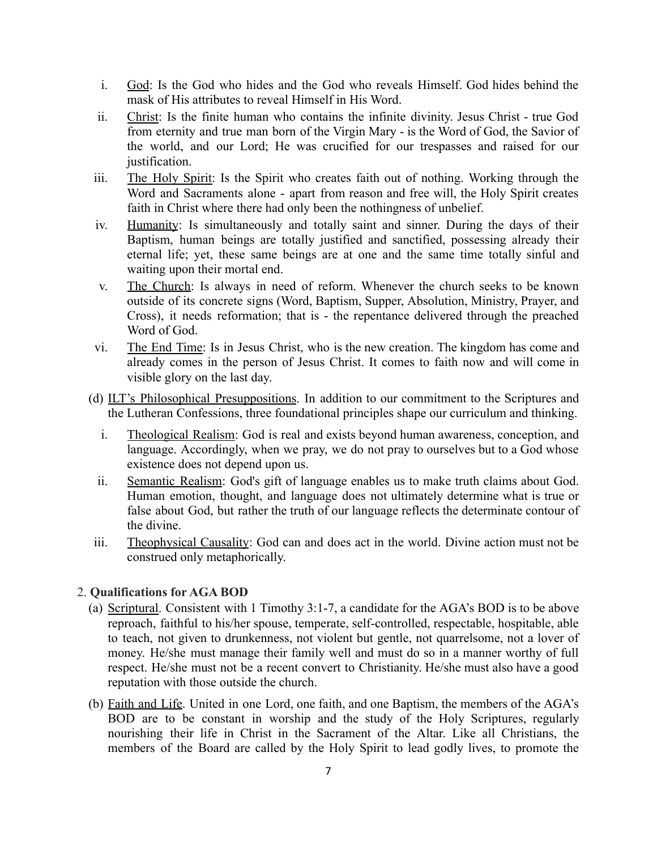- i. God: Is the God who hides and the God who reveals Himself. God hides behind the mask of His attributes to reveal Himself in His Word.
- ii. Christ: Is the finite human who contains the infinite divinity. Jesus Christ true God from eternity and true man born of the Virgin Mary - is the Word of God, the Savior of the world, and our Lord; He was crucified for our trespasses and raised for our justification.
- iii. The Holy Spirit: Is the Spirit who creates faith out of nothing. Working through the Word and Sacraments alone - apart from reason and free will, the Holy Spirit creates faith in Christ where there had only been the nothingness of unbelief.
- iv. Humanity: Is simultaneously and totally saint and sinner. During the days of their Baptism, human beings are totally justified and sanctified, possessing already their eternal life; yet, these same beings are at one and the same time totally sinful and waiting upon their mortal end.
- v. The Church: Is always in need of reform. Whenever the church seeks to be known outside of its concrete signs (Word, Baptism, Supper, Absolution, Ministry, Prayer, and Cross), it needs reformation; that is - the repentance delivered through the preached Word of God.
- vi. The End Time: Is in Jesus Christ, who is the new creation. The kingdom has come and already comes in the person of Jesus Christ. It comes to faith now and will come in visible glory on the last day.
- (d) ILT's Philosophical Presuppositions. In addition to our commitment to the Scriptures and the Lutheran Confessions, three foundational principles shape our curriculum and thinking.
	- i. Theological Realism: God is real and exists beyond human awareness, conception, and language. Accordingly, when we pray, we do not pray to ourselves but to a God whose existence does not depend upon us.
	- ii. Semantic Realism: God's gift of language enables us to make truth claims about God. Human emotion, thought, and language does not ultimately determine what is true or false about God, but rather the truth of our language reflects the determinate contour of the divine.
- iii. Theophysical Causality: God can and does act in the world. Divine action must not be construed only metaphorically.

#### <span id="page-6-0"></span>2. **Qualifications for AGA BOD**

- (a) Scriptural. Consistent with 1 Timothy 3:1-7, a candidate for the AGA's BOD is to be above reproach, faithful to his/her spouse, temperate, self-controlled, respectable, hospitable, able to teach, not given to drunkenness, not violent but gentle, not quarrelsome, not a lover of money. He/she must manage their family well and must do so in a manner worthy of full respect. He/she must not be a recent convert to Christianity. He/she must also have a good reputation with those outside the church.
- (b) Faith and Life. United in one Lord, one faith, and one Baptism, the members of the AGA's BOD are to be constant in worship and the study of the Holy Scriptures, regularly nourishing their life in Christ in the Sacrament of the Altar. Like all Christians, the members of the Board are called by the Holy Spirit to lead godly lives, to promote the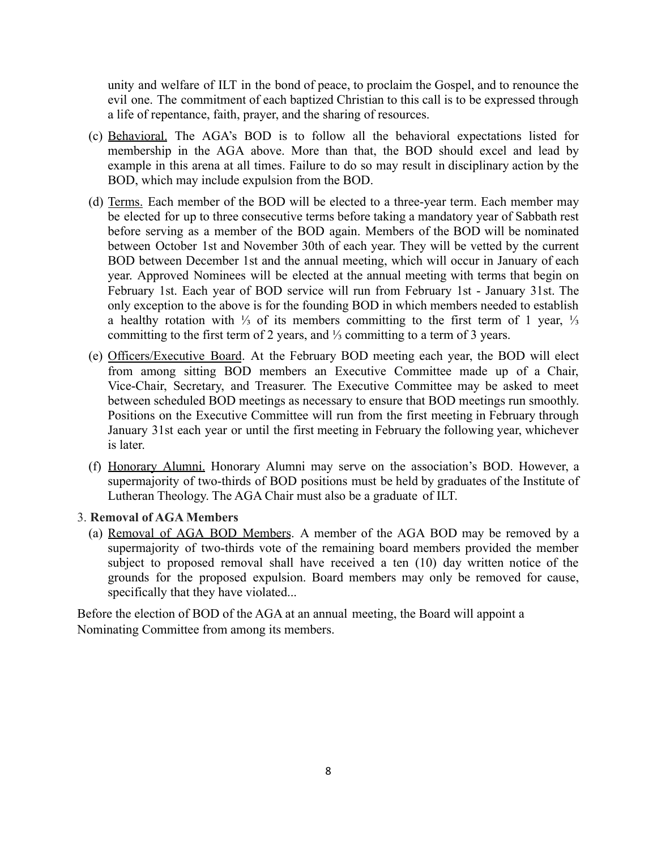unity and welfare of ILT in the bond of peace, to proclaim the Gospel, and to renounce the evil one. The commitment of each baptized Christian to this call is to be expressed through a life of repentance, faith, prayer, and the sharing of resources.

- (c) Behavioral. The AGA's BOD is to follow all the behavioral expectations listed for membership in the AGA above. More than that, the BOD should excel and lead by example in this arena at all times. Failure to do so may result in disciplinary action by the BOD, which may include expulsion from the BOD.
- (d) Terms. Each member of the BOD will be elected to a three-year term. Each member may be elected for up to three consecutive terms before taking a mandatory year of Sabbath rest before serving as a member of the BOD again. Members of the BOD will be nominated between October 1st and November 30th of each year. They will be vetted by the current BOD between December 1st and the annual meeting, which will occur in January of each year. Approved Nominees will be elected at the annual meeting with terms that begin on February 1st. Each year of BOD service will run from February 1st - January 31st. The only exception to the above is for the founding BOD in which members needed to establish a healthy rotation with ⅓ of its members committing to the first term of 1 year, ⅓ committing to the first term of 2 years, and ⅓ committing to a term of 3 years.
- (e) Officers/Executive Board. At the February BOD meeting each year, the BOD will elect from among sitting BOD members an Executive Committee made up of a Chair, Vice-Chair, Secretary, and Treasurer. The Executive Committee may be asked to meet between scheduled BOD meetings as necessary to ensure that BOD meetings run smoothly. Positions on the Executive Committee will run from the first meeting in February through January 31st each year or until the first meeting in February the following year, whichever is later.
- (f) Honorary Alumni. Honorary Alumni may serve on the association's BOD. However, a supermajority of two-thirds of BOD positions must be held by graduates of the Institute of Lutheran Theology. The AGA Chair must also be a graduate of ILT.

#### <span id="page-7-0"></span>3. **Removal of AGA Members**

(a) Removal of AGA BOD Members. A member of the AGA BOD may be removed by a supermajority of two-thirds vote of the remaining board members provided the member subject to proposed removal shall have received a ten (10) day written notice of the grounds for the proposed expulsion. Board members may only be removed for cause, specifically that they have violated...

Before the election of BOD of the AGA at an annual meeting, the Board will appoint a Nominating Committee from among its members.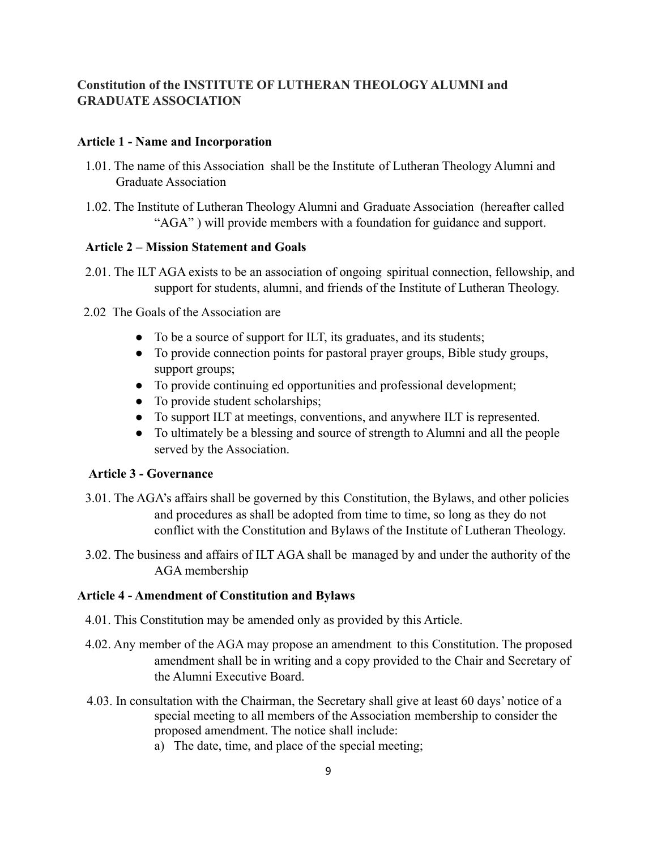# <span id="page-8-0"></span>**Constitution of the INSTITUTE OF LUTHERAN THEOLOGY ALUMNI and GRADUATE ASSOCIATION**

#### **Article 1 - Name and Incorporation**

- 1.01. The name of this Association shall be the Institute of Lutheran Theology Alumni and Graduate Association
- 1.02. The Institute of Lutheran Theology Alumni and Graduate Association (hereafter called "AGA" ) will provide members with a foundation for guidance and support.

### **Article 2 – Mission Statement and Goals**

- 2.01. The ILT AGA exists to be an association of ongoing spiritual connection, fellowship, and support for students, alumni, and friends of the Institute of Lutheran Theology.
- 2.02 The Goals of the Association are
	- To be a source of support for ILT, its graduates, and its students;
	- To provide connection points for pastoral prayer groups, Bible study groups, support groups;
	- To provide continuing ed opportunities and professional development;
	- To provide student scholarships;
	- To support ILT at meetings, conventions, and anywhere ILT is represented.
	- To ultimately be a blessing and source of strength to Alumni and all the people served by the Association.

# **Article 3 - Governance**

- 3.01. The AGA's affairs shall be governed by this Constitution, the Bylaws, and other policies and procedures as shall be adopted from time to time, so long as they do not conflict with the Constitution and Bylaws of the Institute of Lutheran Theology.
- 3.02. The business and affairs of ILT AGA shall be managed by and under the authority of the AGA membership

# **Article 4 - Amendment of Constitution and Bylaws**

- 4.01. This Constitution may be amended only as provided by this Article.
- 4.02. Any member of the AGA may propose an amendment to this Constitution. The proposed amendment shall be in writing and a copy provided to the Chair and Secretary of the Alumni Executive Board.
- 4.03. In consultation with the Chairman, the Secretary shall give at least 60 days' notice of a special meeting to all members of the Association membership to consider the proposed amendment. The notice shall include:
	- a) The date, time, and place of the special meeting;